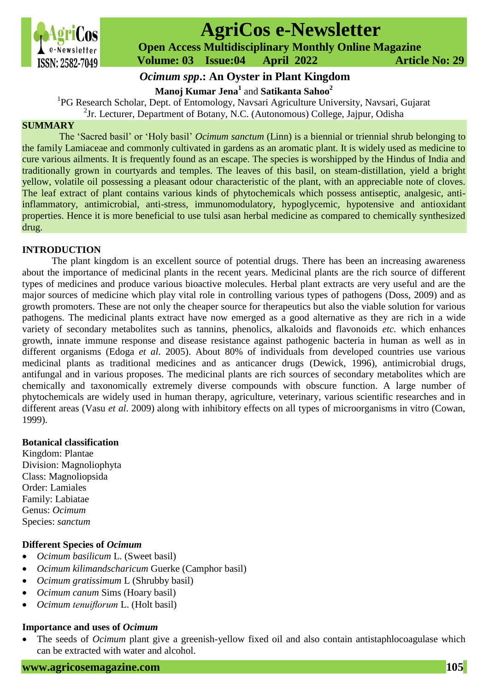

# **AgriCos e-Newsletter**

 **Open Access Multidisciplinary Monthly Online Magazine**

 **ISSN: 2582-7049 Volume: 03 Issue:04 April 2022 Article No: 29** 

## *Ocimum spp***.: An Oyster in Plant Kingdom**

**Manoj Kumar Jena<sup>1</sup>** and **Satikanta Sahoo<sup>2</sup>**

1 PG Research Scholar, Dept. of Entomology, Navsari Agriculture University, Navsari, Gujarat **?**2 Jr. Lecturer, Department of Botany, N.C. (Autonomous) College, Jajpur, Odisha

## **SUMMARY**

The 'Sacred basil' or 'Holy basil' *Ocimum sanctum* (Linn) is a biennial or triennial shrub belonging to the family Lamiaceae and commonly cultivated in gardens as an aromatic plant. It is widely used as medicine to cure various ailments. It is frequently found as an escape. The species is worshipped by the Hindus of India and traditionally grown in courtyards and temples. The leaves of this basil, on steam-distillation, yield a bright yellow, volatile oil possessing a pleasant odour characteristic of the plant, with an appreciable note of cloves. The leaf extract of plant contains various kinds of phytochemicals which possess antiseptic, analgesic, antiinflammatory, antimicrobial, anti-stress, immunomodulatory, hypoglycemic, hypotensive and antioxidant properties. Hence it is more beneficial to use tulsi asan herbal medicine as compared to chemically synthesized drug.

## **INTRODUCTION**

The plant kingdom is an excellent source of potential drugs. There has been an increasing awareness about the importance of medicinal plants in the recent years. Medicinal plants are the rich source of different types of medicines and produce various bioactive molecules. Herbal plant extracts are very useful and are the major sources of medicine which play vital role in controlling various types of pathogens (Doss, 2009) and as growth promoters. These are not only the cheaper source for therapeutics but also the viable solution for various pathogens. The medicinal plants extract have now emerged as a good alternative as they are rich in a wide variety of secondary metabolites such as tannins, phenolics, alkaloids and flavonoids *etc.* which enhances growth, innate immune response and disease resistance against pathogenic bacteria in human as well as in different organisms (Edoga *et al*. 2005). About 80% of individuals from developed countries use various medicinal plants as traditional medicines and as anticancer drugs (Dewick, 1996), antimicrobial drugs, antifungal and in various proposes. The medicinal plants are rich sources of secondary metabolites which are chemically and taxonomically extremely diverse compounds with obscure function. A large number of phytochemicals are widely used in human therapy, agriculture, veterinary, various scientific researches and in different areas (Vasu *et al*. 2009) along with inhibitory effects on all types of microorganisms in vitro (Cowan, 1999).

## **Botanical classification**

Kingdom: Plantae Division: Magnoliophyta Class: Magnoliopsida Order: Lamiales Family: Labiatae Genus: *Ocimum* Species: *sanctum*

## **Different Species of** *Ocimum*

- *Ocimum basilicum* L. (Sweet basil)
- *Ocimum kilimandscharicum* Guerke (Camphor basil)
- *Ocimum gratissimum* L (Shrubby basil)
- *Ocimum canum* Sims (Hoary basil)
- *Ocimum tenuiflorum* L. (Holt basil)

## **Importance and uses of** *Ocimum*

• The seeds of *Ocimum* plant give a greenish-yellow fixed oil and also contain antistaphlocoagulase which can be extracted with water and alcohol.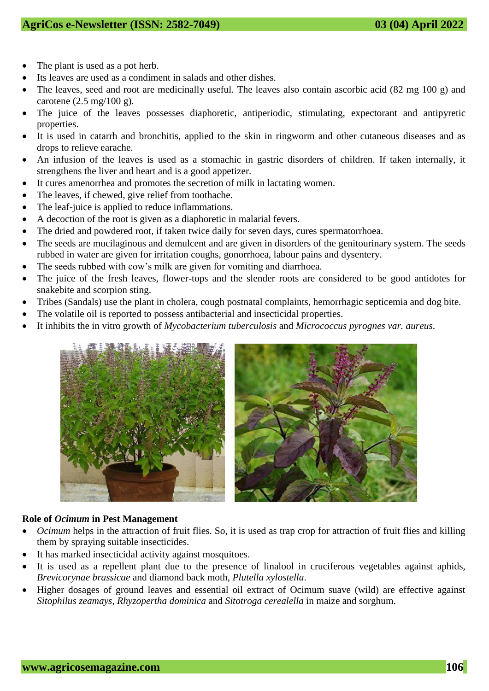- The plant is used as a pot herb.
- Its leaves are used as a condiment in salads and other dishes.
- The leaves, seed and root are medicinally useful. The leaves also contain ascorbic acid (82 mg 100 g) and carotene (2.5 mg/100 g).
- The juice of the leaves possesses diaphoretic, antiperiodic, stimulating, expectorant and antipyretic properties.
- It is used in catarrh and bronchitis, applied to the skin in ringworm and other cutaneous diseases and as drops to relieve earache.
- An infusion of the leaves is used as a stomachic in gastric disorders of children. If taken internally, it strengthens the liver and heart and is a good appetizer.
- It cures amenorrhea and promotes the secretion of milk in lactating women.
- The leaves, if chewed, give relief from toothache.
- The leaf-juice is applied to reduce inflammations.
- A decoction of the root is given as a diaphoretic in malarial fevers.
- The dried and powdered root, if taken twice daily for seven days, cures spermatorrhoea.
- The seeds are mucilaginous and demulcent and are given in disorders of the genitourinary system. The seeds rubbed in water are given for irritation coughs, gonorrhoea, labour pains and dysentery.
- The seeds rubbed with cow's milk are given for vomiting and diarrhoea.
- The juice of the fresh leaves, flower-tops and the slender roots are considered to be good antidotes for snakebite and scorpion sting.
- Tribes (Sandals) use the plant in cholera, cough postnatal complaints, hemorrhagic septicemia and dog bite.
- The volatile oil is reported to possess antibacterial and insecticidal properties.
- It inhibits the in vitro growth of *Mycobacterium tuberculosis* and *Micrococcus pyrognes var. aureus*.





## **Role of** *Ocimum* **in Pest Management**

- *Ocimum* helps in the attraction of fruit flies. So, it is used as trap crop for attraction of fruit flies and killing them by spraying suitable insecticides.
- It has marked insecticidal activity against mosquitoes.
- It is used as a repellent plant due to the presence of linalool in cruciferous vegetables against aphids, *Brevicorynae brassicae* and diamond back moth, *Plutella xylostella*.
- Higher dosages of ground leaves and essential oil extract of Ocimum suave (wild) are effective against *Sitophilus zeamays*, *Rhyzopertha dominica* and *Sitotroga cerealella* in maize and sorghum.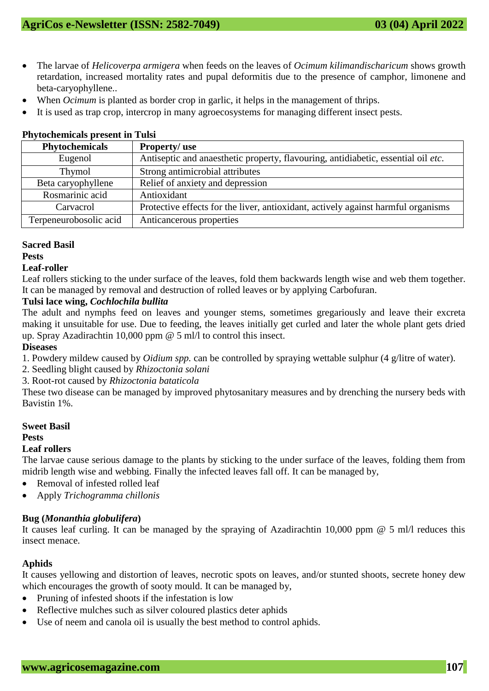- The larvae of *Helicoverpa armigera* when feeds on the leaves of *Ocimum kilimandischaricum* shows growth retardation, increased mortality rates and pupal deformitis due to the presence of camphor, limonene and beta-caryophyllene..
- When *Ocimum* is planted as border crop in garlic, it helps in the management of thrips.
- It is used as trap crop, intercrop in many agroecosystems for managing different insect pests.

| Thytochemicals present in Tulsi |                                                                                   |
|---------------------------------|-----------------------------------------------------------------------------------|
| <b>Phytochemicals</b>           | <b>Property/use</b>                                                               |
| Eugenol                         | Antiseptic and anaesthetic property, flavouring, antidiabetic, essential oil etc. |
| Thymol                          | Strong antimicrobial attributes                                                   |
| Beta caryophyllene              | Relief of anxiety and depression                                                  |
| Rosmarinic acid                 | Antioxidant                                                                       |
| Carvacrol                       | Protective effects for the liver, antioxidant, actively against harmful organisms |
| Terpeneurobosolic acid          | Anticancerous properties                                                          |

## **Phytochemicals present in Tulsi**

## **Sacred Basil**

## **Pests**

## **Leaf-roller**

Leaf rollers sticking to the under surface of the leaves, fold them backwards length wise and web them together. It can be managed by removal and destruction of rolled leaves or by applying Carbofuran.

## **Tulsi lace wing,** *Cochlochila bullita*

The adult and nymphs feed on leaves and younger stems, sometimes gregariously and leave their excreta making it unsuitable for use. Due to feeding, the leaves initially get curled and later the whole plant gets dried up. Spray Azadirachtin 10,000 ppm @ 5 ml/l to control this insect.

## **Diseases**

1. Powdery mildew caused by *Oidium spp.* can be controlled by spraying wettable sulphur (4 g/litre of water).

2. Seedling blight caused by *Rhizoctonia solani*

3. Root-rot caused by *Rhizoctonia bataticola*

These two disease can be managed by improved phytosanitary measures and by drenching the nursery beds with Bavistin 1%.

## **Sweet Basil**

## **Pests**

## **Leaf rollers**

The larvae cause serious damage to the plants by sticking to the under surface of the leaves, folding them from midrib length wise and webbing. Finally the infected leaves fall off. It can be managed by,

- Removal of infested rolled leaf
- Apply *Trichogramma chillonis*

## **Bug (***Monanthia globulifera***)**

It causes leaf curling. It can be managed by the spraying of Azadirachtin 10,000 ppm @ 5 ml/l reduces this insect menace.

## **Aphids**

It causes yellowing and distortion of leaves, necrotic spots on leaves, and/or stunted shoots, secrete honey dew which encourages the growth of sooty mould. It can be managed by,

- Pruning of infested shoots if the infestation is low
- Reflective mulches such as silver coloured plastics deter aphids
- Use of neem and canola oil is usually the best method to control aphids.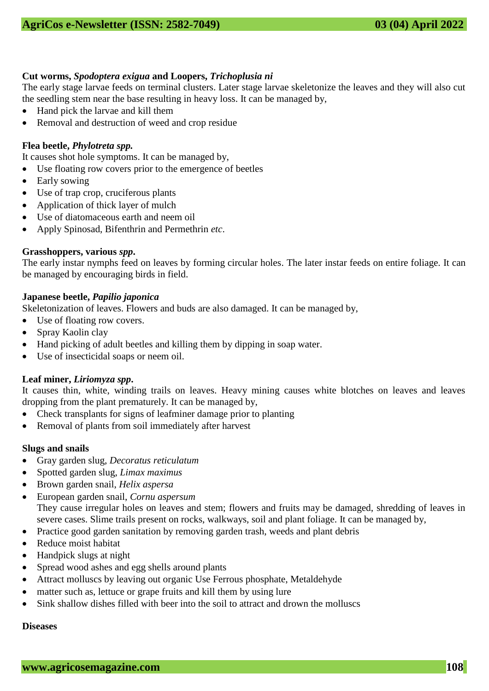## **Cut worms,** *Spodoptera exigua* **and Loopers,** *Trichoplusia ni*

The early stage larvae feeds on terminal clusters. Later stage larvae skeletonize the leaves and they will also cut the seedling stem near the base resulting in heavy loss. It can be managed by,

- Hand pick the larvae and kill them
- Removal and destruction of weed and crop residue

## **Flea beetle,** *Phylotreta spp.*

It causes shot hole symptoms. It can be managed by,

- Use floating row covers prior to the emergence of beetles
- Early sowing
- Use of trap crop, cruciferous plants
- Application of thick layer of mulch
- Use of diatomaceous earth and neem oil
- Apply Spinosad, Bifenthrin and Permethrin *etc*.

## **Grasshoppers, various** *spp***.**

The early instar nymphs feed on leaves by forming circular holes. The later instar feeds on entire foliage. It can be managed by encouraging birds in field.

## **Japanese beetle,** *Papilio japonica*

Skeletonization of leaves. Flowers and buds are also damaged. It can be managed by,

- Use of floating row covers.
- Spray Kaolin clay
- Hand picking of adult beetles and killing them by dipping in soap water.
- Use of insecticidal soaps or neem oil.

## **Leaf miner,** *Liriomyza spp***.**

It causes thin, white, winding trails on leaves. Heavy mining causes white blotches on leaves and leaves dropping from the plant prematurely. It can be managed by,

- Check transplants for signs of leafminer damage prior to planting
- Removal of plants from soil immediately after harvest

## **Slugs and snails**

- Gray garden slug, *Decoratus reticulatum*
- Spotted garden slug, *Limax maximus*
- Brown garden snail, *Helix aspersa*
- European garden snail, *Cornu aspersum* They cause irregular holes on leaves and stem; flowers and fruits may be damaged, shredding of leaves in severe cases. Slime trails present on rocks, walkways, soil and plant foliage. It can be managed by,
- Practice good garden sanitation by removing garden trash, weeds and plant debris
- Reduce moist habitat
- Handpick slugs at night
- Spread wood ashes and egg shells around plants
- Attract molluscs by leaving out organic Use Ferrous phosphate, Metaldehyde
- matter such as, lettuce or grape fruits and kill them by using lure
- Sink shallow dishes filled with beer into the soil to attract and drown the molluscs

## **Diseases**